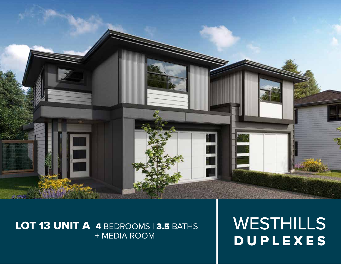

## LOT 13 UNIT A 4 BEDROOMS 3.5 BATHS + MEDIA ROOM

WESTHILLS DUPLEXES